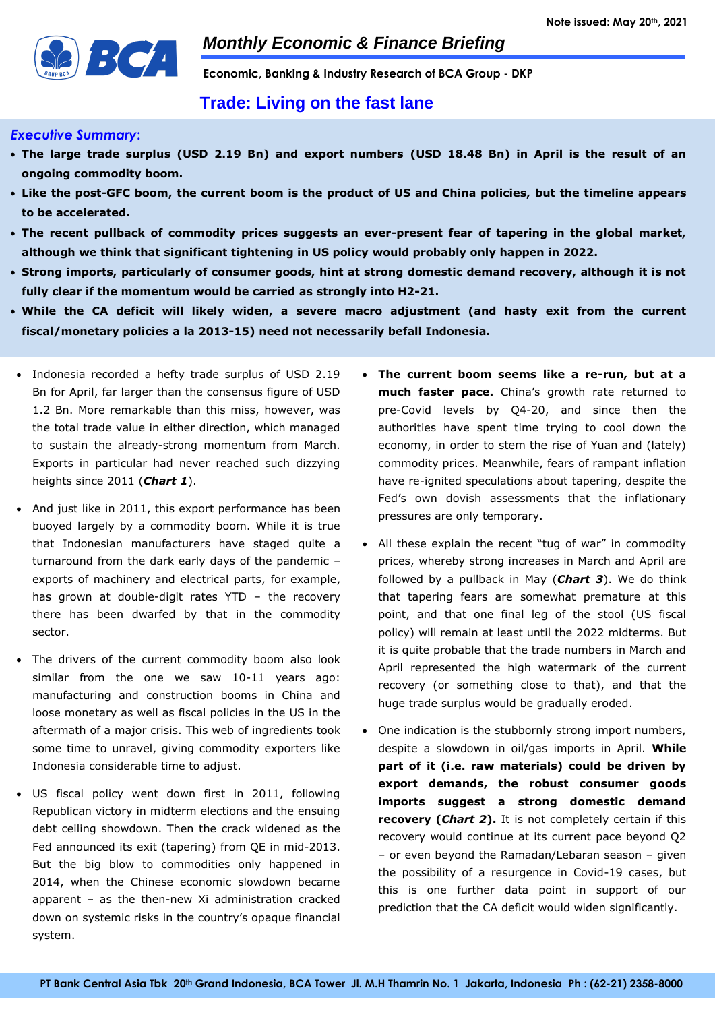

**Economic, Banking & Industry Research of BCA Group - DKP**

# **Trade: Living on the fast lane**

## *Executive Summary***:**

- **The large trade surplus (USD 2.19 Bn) and export numbers (USD 18.48 Bn) in April is the result of an ongoing commodity boom.**
- **Like the post-GFC boom, the current boom is the product of US and China policies, but the timeline appears to be accelerated.**
- **The recent pullback of commodity prices suggests an ever-present fear of tapering in the global market, although we think that significant tightening in US policy would probably only happen in 2022.**
- **Strong imports, particularly of consumer goods, hint at strong domestic demand recovery, although it is not fully clear if the momentum would be carried as strongly into H2-21.**
- **While the CA deficit will likely widen, a severe macro adjustment (and hasty exit from the current fiscal/monetary policies a la 2013-15) need not necessarily befall Indonesia.**
- Indonesia recorded a hefty trade surplus of USD 2.19 Bn for April, far larger than the consensus figure of USD 1.2 Bn. More remarkable than this miss, however, was the total trade value in either direction, which managed to sustain the already-strong momentum from March. Exports in particular had never reached such dizzying heights since 2011 (*Chart 1*).
- And just like in 2011, this export performance has been buoyed largely by a commodity boom. While it is true that Indonesian manufacturers have staged quite a turnaround from the dark early days of the pandemic – exports of machinery and electrical parts, for example, has grown at double-digit rates YTD – the recovery there has been dwarfed by that in the commodity sector.
- The drivers of the current commodity boom also look similar from the one we saw 10-11 years ago: manufacturing and construction booms in China and loose monetary as well as fiscal policies in the US in the aftermath of a major crisis. This web of ingredients took some time to unravel, giving commodity exporters like Indonesia considerable time to adjust.
- US fiscal policy went down first in 2011, following Republican victory in midterm elections and the ensuing debt ceiling showdown. Then the crack widened as the Fed announced its exit (tapering) from QE in mid-2013. But the big blow to commodities only happened in 2014, when the Chinese economic slowdown became apparent – as the then-new Xi administration cracked down on systemic risks in the country's opaque financial system.
- **The current boom seems like a re-run, but at a much faster pace.** China's growth rate returned to pre-Covid levels by Q4-20, and since then the authorities have spent time trying to cool down the economy, in order to stem the rise of Yuan and (lately) commodity prices. Meanwhile, fears of rampant inflation have re-ignited speculations about tapering, despite the Fed's own dovish assessments that the inflationary pressures are only temporary.
- All these explain the recent "tug of war" in commodity prices, whereby strong increases in March and April are followed by a pullback in May (*Chart 3*). We do think that tapering fears are somewhat premature at this point, and that one final leg of the stool (US fiscal policy) will remain at least until the 2022 midterms. But it is quite probable that the trade numbers in March and April represented the high watermark of the current recovery (or something close to that), and that the huge trade surplus would be gradually eroded.
- One indication is the stubbornly strong import numbers, despite a slowdown in oil/gas imports in April. **While part of it (i.e. raw materials) could be driven by export demands, the robust consumer goods imports suggest a strong domestic demand recovery (***Chart 2***).** It is not completely certain if this recovery would continue at its current pace beyond Q2 – or even beyond the Ramadan/Lebaran season – given the possibility of a resurgence in Covid-19 cases, but this is one further data point in support of our prediction that the CA deficit would widen significantly.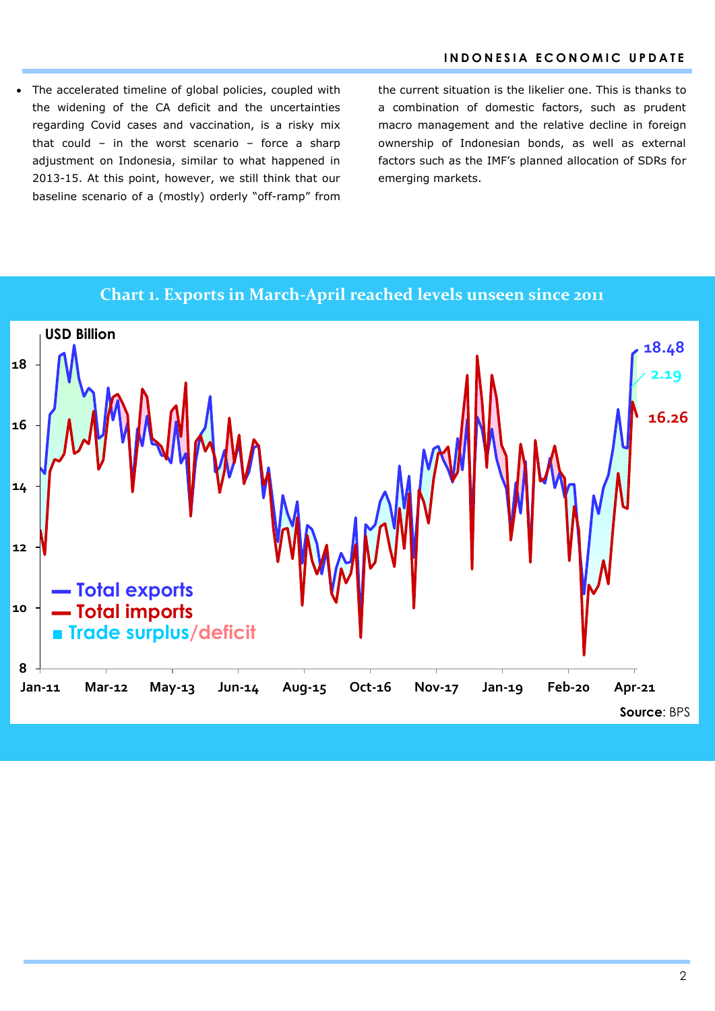The accelerated timeline of global policies, coupled with the widening of the CA deficit and the uncertainties regarding Covid cases and vaccination, is a risky mix that could – in the worst scenario – force a sharp adjustment on Indonesia, similar to what happened in 2013-15. At this point, however, we still think that our baseline scenario of a (mostly) orderly "off-ramp" from the current situation is the likelier one. This is thanks to a combination of domestic factors, such as prudent macro management and the relative decline in foreign ownership of Indonesian bonds, as well as external factors such as the IMF's planned allocation of SDRs for emerging markets.



**Chart 1. Exports in March-April reached levels unseen since 2011**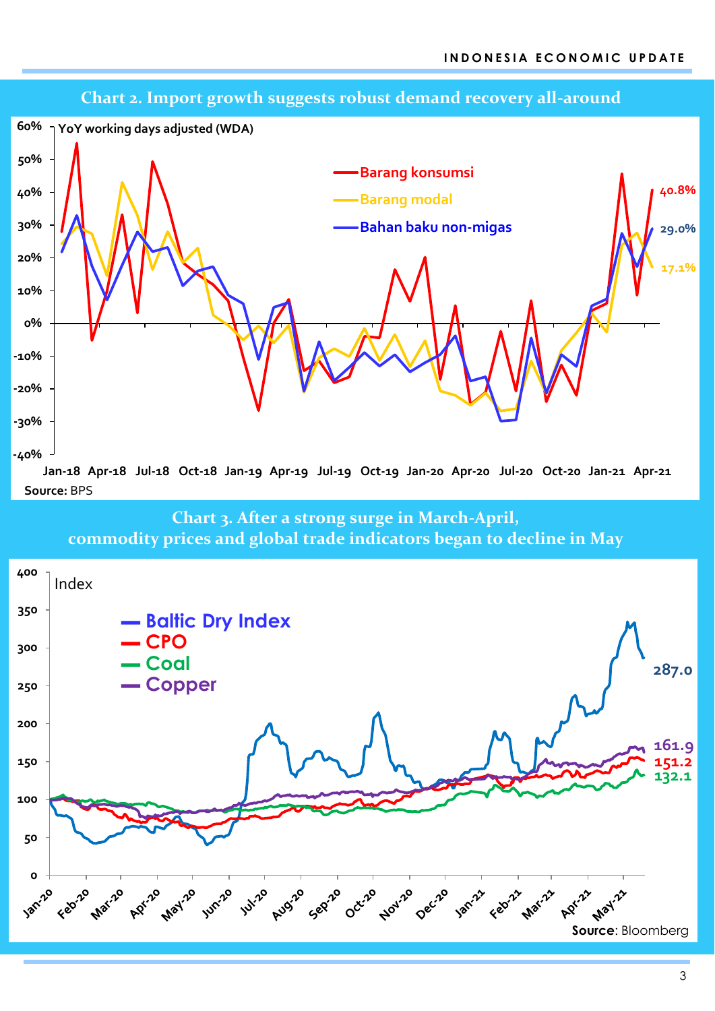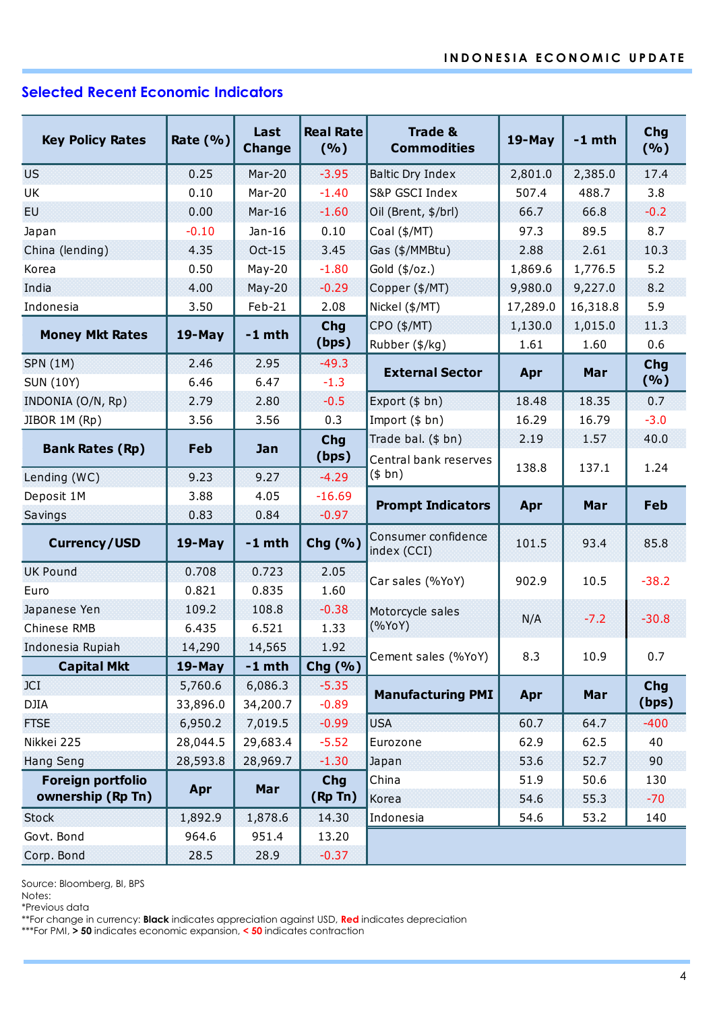# **Selected Recent Economic Indicators**

| <b>Key Policy Rates</b>                                                                                                                                                                                                               | Rate $(% )$         | Last<br><b>Change</b> | <b>Real Rate</b><br>(%) | <b>Trade &amp;</b><br><b>Commodities</b>    | $19-May$ | $-1$ mth | Chg<br>( %)         |  |  |  |  |
|---------------------------------------------------------------------------------------------------------------------------------------------------------------------------------------------------------------------------------------|---------------------|-----------------------|-------------------------|---------------------------------------------|----------|----------|---------------------|--|--|--|--|
| <b>US</b>                                                                                                                                                                                                                             | 0.25                | Mar-20                | $-3.95$                 | <b>Baltic Dry Index</b>                     | 2,801.0  | 2,385.0  | 17.4                |  |  |  |  |
| UK                                                                                                                                                                                                                                    | 0.10                | Mar-20                | $-1.40$                 | S&P GSCI Index                              | 507.4    | 488.7    | 3.8                 |  |  |  |  |
| EU.                                                                                                                                                                                                                                   | 0.00                | $Mar-16$              | $-1.60$                 | Oil (Brent, \$/brl)                         | 66.7     | 66.8     | $-0.2$              |  |  |  |  |
| Japan                                                                                                                                                                                                                                 | $-0.10$             | $Jan-16$              | 0.10                    | Coal (\$/MT)                                | 97.3     | 89.5     | 8.7                 |  |  |  |  |
| China (lending)                                                                                                                                                                                                                       | 4.35                | Oct-15                | 3.45                    | Gas (\$/MMBtu)                              | 2.88     | 2.61     | 10.3                |  |  |  |  |
| Korea                                                                                                                                                                                                                                 | 0.50                | $May-20$              | $-1.80$                 | Gold (\$/oz.)                               | 1,869.6  | 1,776.5  | 5.2                 |  |  |  |  |
| India                                                                                                                                                                                                                                 | 4.00                | $May-20$              | $-0.29$                 | Copper (\$/MT)                              | 9,980.0  | 9,227.0  | 8.2                 |  |  |  |  |
| Indonesia                                                                                                                                                                                                                             | 3.50                | Feb-21                | 2.08                    | Nickel (\$/MT)                              | 17,289.0 | 16,318.8 | 5.9                 |  |  |  |  |
| <b>Money Mkt Rates</b>                                                                                                                                                                                                                | $19$ -May           | $-1$ mth              | <b>Chg</b>              | CPO (\$/MT)                                 | 1,130.0  | 1,015.0  | 11.3                |  |  |  |  |
|                                                                                                                                                                                                                                       |                     |                       | (bps)                   | Rubber (\$/kg)                              | 1.61     | 1.60     | 0.6                 |  |  |  |  |
| <b>SPN (1M)</b><br><b>SUN (10Y)</b>                                                                                                                                                                                                   | 2.46<br>6.46        | 2.95<br>6.47          | $-49.3$<br>$-1.3$       | <b>External Sector</b>                      | Apr      | Mar      | Chg<br>( %)         |  |  |  |  |
|                                                                                                                                                                                                                                       |                     |                       |                         |                                             |          | 18.35    |                     |  |  |  |  |
| INDONIA (O/N, Rp)                                                                                                                                                                                                                     | 2.79                | 2.80                  | $-0.5$<br>0.3           | Export $($bn)$                              | 18.48    |          | 0.7<br>$-3.0$       |  |  |  |  |
| JIBOR 1M (Rp)                                                                                                                                                                                                                         | 3.56                | 3.56                  |                         | Import $($bn)$                              | 16.29    | 16.79    |                     |  |  |  |  |
| <b>Bank Rates (Rp)</b>                                                                                                                                                                                                                | Feb                 | Jan                   | <b>Chg</b><br>(bps)     | Trade bal. (\$ bn)<br>Central bank reserves | 2.19     | 1.57     | 40.0                |  |  |  |  |
| Lending (WC)                                                                                                                                                                                                                          | 9.23                | 9.27                  | $-4.29$                 | (\$bn)                                      | 138.8    | 137.1    | 1.24                |  |  |  |  |
| Deposit 1M                                                                                                                                                                                                                            | 3.88                | 4.05                  | $-16.69$                |                                             |          |          |                     |  |  |  |  |
| Savings                                                                                                                                                                                                                               | 0.83                | 0.84                  | $-0.97$                 | <b>Prompt Indicators</b>                    | Apr      | Mar      | Feb                 |  |  |  |  |
| <b>Currency/USD</b>                                                                                                                                                                                                                   | $19$ -May           | $-1$ mth              | Chg (%)                 | Consumer confidence<br>index (CCI)          | 101.5    | 93.4     | 85.8                |  |  |  |  |
| <b>UK Pound</b>                                                                                                                                                                                                                       | 0.708               | 0.723                 | 2.05                    | Car sales (%YoY)                            | 902.9    | 10.5     | $-38.2$             |  |  |  |  |
| Euro                                                                                                                                                                                                                                  | 0.821               | 0.835                 | 1.60                    |                                             |          |          |                     |  |  |  |  |
| Japanese Yen                                                                                                                                                                                                                          | 109.2               | 108.8                 | $-0.38$                 | Motorcycle sales                            | N/A      | $-7.2$   | $-30.8$             |  |  |  |  |
| Chinese RMB                                                                                                                                                                                                                           | 6.435               | 6.521                 | 1.33                    | (%YoY)                                      |          |          |                     |  |  |  |  |
| Indonesia Rupiah                                                                                                                                                                                                                      | 14,290              | 14,565                | 1.92                    | Cement sales (%YoY)                         | 8.3      | 10.9     | 0.7                 |  |  |  |  |
| <b>Capital Mkt</b>                                                                                                                                                                                                                    | $19$ -May           | $-1$ mth              | Chg $(% )$              |                                             |          |          |                     |  |  |  |  |
| <b>JCI</b><br><b>DJIA</b>                                                                                                                                                                                                             | 5,760.6<br>33,896.0 | 6,086.3<br>34,200.7   | $-5.35$<br>$-0.89$      | <b>Manufacturing PMI</b>                    | Apr      | Mar      | <b>Chg</b><br>(bps) |  |  |  |  |
| <b>FTSE</b>                                                                                                                                                                                                                           | 6,950.2             | 7,019.5               | $-0.99$                 | <b>USA</b>                                  | 60.7     | 64.7     | $-400$              |  |  |  |  |
| Nikkei 225                                                                                                                                                                                                                            | 28,044.5            | 29,683.4              | $-5.52$                 | Eurozone                                    | 62.9     | 62.5     | 40                  |  |  |  |  |
| <b>Hang Seng</b>                                                                                                                                                                                                                      | 28,593.8            | 28,969.7              | $-1.30$                 | Japan                                       | 53.6     | 52.7     | 90                  |  |  |  |  |
| Foreign portfolio                                                                                                                                                                                                                     |                     |                       | <b>Chg</b>              | China                                       | 51.9     | 50.6     | 130                 |  |  |  |  |
| ownership (Rp Tn)                                                                                                                                                                                                                     | Apr                 | Mar                   | (Rp Tn)                 | Korea                                       | 54.6     | 55.3     | $-70$               |  |  |  |  |
| <b>Stock</b>                                                                                                                                                                                                                          | 1,892.9             | 1,878.6               | 14.30                   | Indonesia                                   | 54.6     | 53.2     | 140                 |  |  |  |  |
| Govt. Bond                                                                                                                                                                                                                            | 964.6               | 951.4                 | 13.20                   |                                             |          |          |                     |  |  |  |  |
| Corp. Bond                                                                                                                                                                                                                            | 28.5                | 28.9                  | $-0.37$                 |                                             |          |          |                     |  |  |  |  |
| Source: Bloomberg, BI, BPS<br>Notes:<br>*Previous data<br>**For change in currency: Black indicates appreciation against USD, Red indicates depreciation<br>***For PMI, > 50 indicates economic expansion, < 50 indicates contraction |                     |                       |                         |                                             |          |          |                     |  |  |  |  |